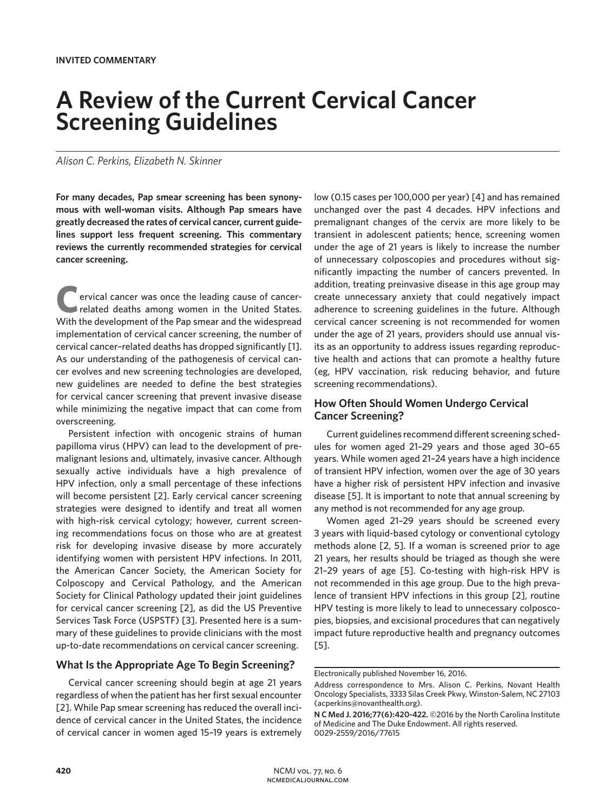# **A Review of the Current Cervical Cancer Screening Guidelines**

#### *Alison C. Perkins, Elizabeth N. Skinner*

**For many decades, Pap smear screening has been synonymous with well-woman visits. Although Pap smears have greatly decreased the rates of cervical cancer, current guidelines support less frequent screening. This commentary reviews the currently recommended strategies for cervical cancer screening.**

ervical cancer was once the leading cause of cancerrelated deaths among women in the United States. With the development of the Pap smear and the widespread implementation of cervical cancer screening, the number of cervical cancer–related deaths has dropped significantly [1]. As our understanding of the pathogenesis of cervical cancer evolves and new screening technologies are developed, new guidelines are needed to define the best strategies for cervical cancer screening that prevent invasive disease while minimizing the negative impact that can come from overscreening.

Persistent infection with oncogenic strains of human papilloma virus (HPV) can lead to the development of premalignant lesions and, ultimately, invasive cancer. Although sexually active individuals have a high prevalence of HPV infection, only a small percentage of these infections will become persistent [2]. Early cervical cancer screening strategies were designed to identify and treat all women with high-risk cervical cytology; however, current screening recommendations focus on those who are at greatest risk for developing invasive disease by more accurately identifying women with persistent HPV infections. In 2011, the American Cancer Society, the American Society for Colposcopy and Cervical Pathology, and the American Society for Clinical Pathology updated their joint guidelines for cervical cancer screening [2], as did the US Preventive Services Task Force (USPSTF) [3]. Presented here is a summary of these guidelines to provide clinicians with the most up-to-date recommendations on cervical cancer screening.

#### **What Is the Appropriate Age To Begin Screening?**

Cervical cancer screening should begin at age 21 years regardless of when the patient has her first sexual encounter [2]. While Pap smear screening has reduced the overall incidence of cervical cancer in the United States, the incidence of cervical cancer in women aged 15–19 years is extremely

low (0.15 cases per 100,000 per year) [4] and has remained unchanged over the past 4 decades. HPV infections and premalignant changes of the cervix are more likely to be transient in adolescent patients; hence, screening women under the age of 21 years is likely to increase the number of unnecessary colposcopies and procedures without significantly impacting the number of cancers prevented. In addition, treating preinvasive disease in this age group may create unnecessary anxiety that could negatively impact adherence to screening guidelines in the future. Although cervical cancer screening is not recommended for women under the age of 21 years, providers should use annual visits as an opportunity to address issues regarding reproductive health and actions that can promote a healthy future (eg, HPV vaccination, risk reducing behavior, and future screening recommendations).

## **How Often Should Women Undergo Cervical Cancer Screening?**

Current guidelines recommend different screening schedules for women aged 21–29 years and those aged 30–65 years. While women aged 21–24 years have a high incidence of transient HPV infection, women over the age of 30 years have a higher risk of persistent HPV infection and invasive disease [5]. It is important to note that annual screening by any method is not recommended for any age group.

Women aged 21–29 years should be screened every 3 years with liquid-based cytology or conventional cytology methods alone [2, 5]. If a woman is screened prior to age 21 years, her results should be triaged as though she were 21–29 years of age [5]. Co-testing with high-risk HPV is not recommended in this age group. Due to the high prevalence of transient HPV infections in this group [2], routine HPV testing is more likely to lead to unnecessary colposcopies, biopsies, and excisional procedures that can negatively impact future reproductive health and pregnancy outcomes [5].

Electronically published November 16, 2016.

Address correspondence to Mrs. Alison C. Perkins, Novant Health Oncology Specialists, 3333 Silas Creek Pkwy, Winston-Salem, NC 27103 (acperkins@novanthealth.org).

**N C Med J. 2016;77(6):420-422.** ©2016 by the North Carolina Institute of Medicine and The Duke Endowment. All rights reserved. 0029-2559/2016/77615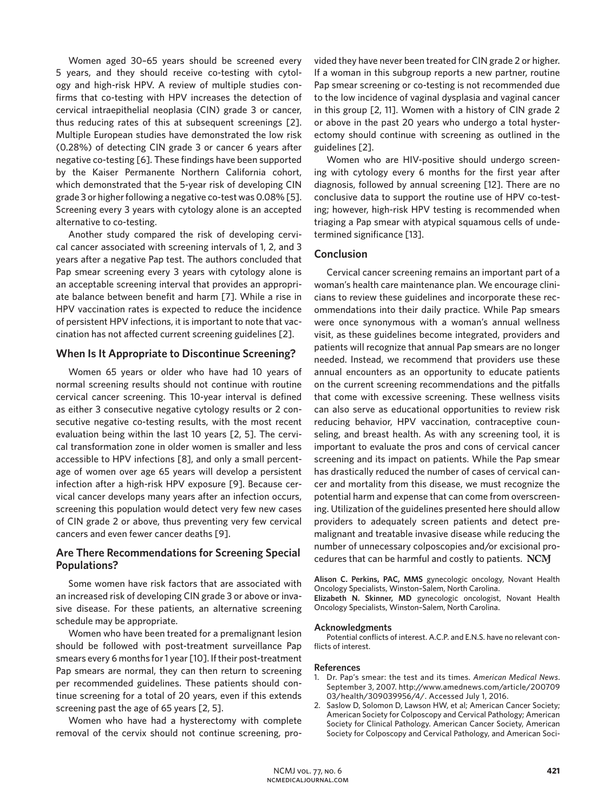Women aged 30–65 years should be screened every 5 years, and they should receive co-testing with cytology and high-risk HPV. A review of multiple studies confirms that co-testing with HPV increases the detection of cervical intraepithelial neoplasia (CIN) grade 3 or cancer, thus reducing rates of this at subsequent screenings [2]. Multiple European studies have demonstrated the low risk (0.28%) of detecting CIN grade 3 or cancer 6 years after negative co-testing [6]. These findings have been supported by the Kaiser Permanente Northern California cohort, which demonstrated that the 5-year risk of developing CIN grade 3 or higher following a negative co-test was 0.08% [5]. Screening every 3 years with cytology alone is an accepted alternative to co-testing.

Another study compared the risk of developing cervical cancer associated with screening intervals of 1, 2, and 3 years after a negative Pap test. The authors concluded that Pap smear screening every 3 years with cytology alone is an acceptable screening interval that provides an appropriate balance between benefit and harm [7]. While a rise in HPV vaccination rates is expected to reduce the incidence of persistent HPV infections, it is important to note that vaccination has not affected current screening guidelines [2].

### **When Is It Appropriate to Discontinue Screening?**

Women 65 years or older who have had 10 years of normal screening results should not continue with routine cervical cancer screening. This 10-year interval is defined as either 3 consecutive negative cytology results or 2 consecutive negative co-testing results, with the most recent evaluation being within the last 10 years [2, 5]. The cervical transformation zone in older women is smaller and less accessible to HPV infections [8], and only a small percentage of women over age 65 years will develop a persistent infection after a high-risk HPV exposure [9]. Because cervical cancer develops many years after an infection occurs, screening this population would detect very few new cases of CIN grade 2 or above, thus preventing very few cervical cancers and even fewer cancer deaths [9].

### **Are There Recommendations for Screening Special Populations?**

Some women have risk factors that are associated with an increased risk of developing CIN grade 3 or above or invasive disease. For these patients, an alternative screening schedule may be appropriate.

Women who have been treated for a premalignant lesion should be followed with post-treatment surveillance Pap smears every 6 months for 1 year [10]. If their post-treatment Pap smears are normal, they can then return to screening per recommended guidelines. These patients should continue screening for a total of 20 years, even if this extends screening past the age of 65 years [2, 5].

Women who have had a hysterectomy with complete removal of the cervix should not continue screening, provided they have never been treated for CIN grade 2 or higher. If a woman in this subgroup reports a new partner, routine Pap smear screening or co-testing is not recommended due to the low incidence of vaginal dysplasia and vaginal cancer in this group [2, 11]. Women with a history of CIN grade 2 or above in the past 20 years who undergo a total hysterectomy should continue with screening as outlined in the guidelines [2].

Women who are HIV-positive should undergo screening with cytology every 6 months for the first year after diagnosis, followed by annual screening [12]. There are no conclusive data to support the routine use of HPV co-testing; however, high-risk HPV testing is recommended when triaging a Pap smear with atypical squamous cells of undetermined significance [13].

### **Conclusion**

Cervical cancer screening remains an important part of a woman's health care maintenance plan. We encourage clinicians to review these guidelines and incorporate these recommendations into their daily practice. While Pap smears were once synonymous with a woman's annual wellness visit, as these guidelines become integrated, providers and patients will recognize that annual Pap smears are no longer needed. Instead, we recommend that providers use these annual encounters as an opportunity to educate patients on the current screening recommendations and the pitfalls that come with excessive screening. These wellness visits can also serve as educational opportunities to review risk reducing behavior, HPV vaccination, contraceptive counseling, and breast health. As with any screening tool, it is important to evaluate the pros and cons of cervical cancer screening and its impact on patients. While the Pap smear has drastically reduced the number of cases of cervical cancer and mortality from this disease, we must recognize the potential harm and expense that can come from overscreening. Utilization of the guidelines presented here should allow providers to adequately screen patients and detect premalignant and treatable invasive disease while reducing the number of unnecessary colposcopies and/or excisional procedures that can be harmful and costly to patients.

**Alison C. Perkins, PAC, MMS** gynecologic oncology, Novant Health Oncology Specialists, Winston–Salem, North Carolina. **Elizabeth N. Skinner, MD** gynecologic oncologist, Novant Health Oncology Specialists, Winston–Salem, North Carolina.

#### **Acknowledgments**

Potential conflicts of interest. A.C.P. and E.N.S. have no relevant conflicts of interest.

#### **References**

- 1. Dr. Pap's smear: the test and its times. *American Medical News*. September 3, 2007. http://www.amednews.com/article/200709 03/health/309039956/4/. Accessed July 1, 2016.
- 2. Saslow D, Solomon D, Lawson HW, et al; American Cancer Society; American Society for Colposcopy and Cervical Pathology; American Society for Clinical Pathology. American Cancer Society, American Society for Colposcopy and Cervical Pathology, and American Soci-